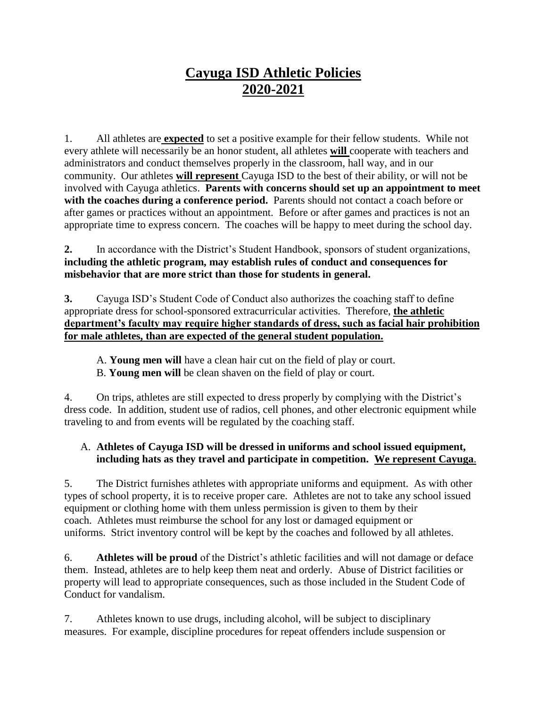# **Cayuga ISD Athletic Policies 2020-2021**

1. All athletes are **expected** to set a positive example for their fellow students. While not every athlete will necessarily be an honor student, all athletes **will** cooperate with teachers and administrators and conduct themselves properly in the classroom, hall way, and in our community. Our athletes **will represent** Cayuga ISD to the best of their ability, or will not be involved with Cayuga athletics. **Parents with concerns should set up an appointment to meet with the coaches during a conference period.** Parents should not contact a coach before or after games or practices without an appointment. Before or after games and practices is not an appropriate time to express concern. The coaches will be happy to meet during the school day.

**2.** In accordance with the District's Student Handbook, sponsors of student organizations, **including the athletic program, may establish rules of conduct and consequences for misbehavior that are more strict than those for students in general.**

**3.** Cayuga ISD's Student Code of Conduct also authorizes the coaching staff to define appropriate dress for school-sponsored extracurricular activities. Therefore, **the athletic department's faculty may require higher standards of dress, such as facial hair prohibition for male athletes, than are expected of the general student population.**

A. **Young men will** have a clean hair cut on the field of play or court.

B. **Young men will** be clean shaven on the field of play or court.

4. On trips, athletes are still expected to dress properly by complying with the District's dress code. In addition, student use of radios, cell phones, and other electronic equipment while traveling to and from events will be regulated by the coaching staff.

## A. **Athletes of Cayuga ISD will be dressed in uniforms and school issued equipment, including hats as they travel and participate in competition. We represent Cayuga**.

5. The District furnishes athletes with appropriate uniforms and equipment. As with other types of school property, it is to receive proper care. Athletes are not to take any school issued equipment or clothing home with them unless permission is given to them by their coach. Athletes must reimburse the school for any lost or damaged equipment or uniforms. Strict inventory control will be kept by the coaches and followed by all athletes.

6. **Athletes will be proud** of the District's athletic facilities and will not damage or deface them. Instead, athletes are to help keep them neat and orderly. Abuse of District facilities or property will lead to appropriate consequences, such as those included in the Student Code of Conduct for vandalism.

7. Athletes known to use drugs, including alcohol, will be subject to disciplinary measures. For example, discipline procedures for repeat offenders include suspension or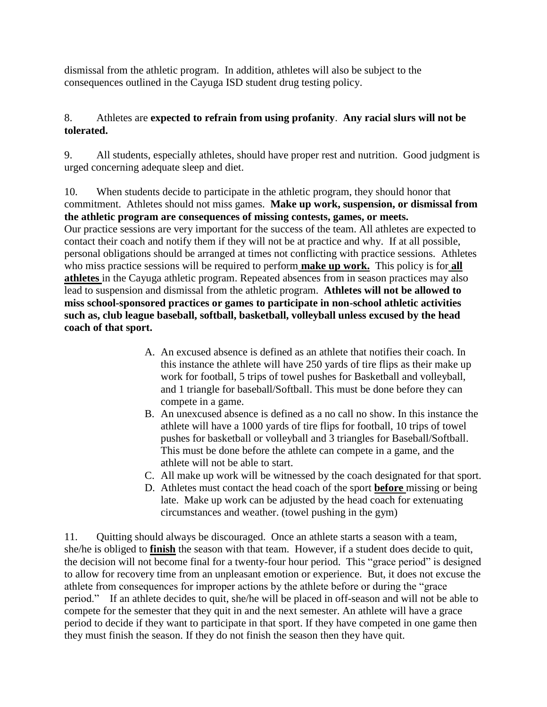dismissal from the athletic program. In addition, athletes will also be subject to the consequences outlined in the Cayuga ISD student drug testing policy.

### 8. Athletes are **expected to refrain from using profanity**. **Any racial slurs will not be tolerated.**

9. All students, especially athletes, should have proper rest and nutrition. Good judgment is urged concerning adequate sleep and diet.

10. When students decide to participate in the athletic program, they should honor that commitment. Athletes should not miss games. **Make up work, suspension, or dismissal from the athletic program are consequences of missing contests, games, or meets.** Our practice sessions are very important for the success of the team. All athletes are expected to contact their coach and notify them if they will not be at practice and why. If at all possible, personal obligations should be arranged at times not conflicting with practice sessions. Athletes who miss practice sessions will be required to perform **make up work.** This policy is for **all athletes** in the Cayuga athletic program. Repeated absences from in season practices may also lead to suspension and dismissal from the athletic program. **Athletes will not be allowed to miss school-sponsored practices or games to participate in non-school athletic activities such as, club league baseball, softball, basketball, volleyball unless excused by the head coach of that sport.**

- A. An excused absence is defined as an athlete that notifies their coach. In this instance the athlete will have 250 yards of tire flips as their make up work for football, 5 trips of towel pushes for Basketball and volleyball, and 1 triangle for baseball/Softball. This must be done before they can compete in a game.
- B. An unexcused absence is defined as a no call no show. In this instance the athlete will have a 1000 yards of tire flips for football, 10 trips of towel pushes for basketball or volleyball and 3 triangles for Baseball/Softball. This must be done before the athlete can compete in a game, and the athlete will not be able to start.
- C. All make up work will be witnessed by the coach designated for that sport.
- D. Athletes must contact the head coach of the sport **before** missing or being late. Make up work can be adjusted by the head coach for extenuating circumstances and weather. (towel pushing in the gym)

11. Quitting should always be discouraged. Once an athlete starts a season with a team, she/he is obliged to **finish** the season with that team. However, if a student does decide to quit, the decision will not become final for a twenty-four hour period. This "grace period" is designed to allow for recovery time from an unpleasant emotion or experience. But, it does not excuse the athlete from consequences for improper actions by the athlete before or during the "grace period." If an athlete decides to quit, she/he will be placed in off-season and will not be able to compete for the semester that they quit in and the next semester. An athlete will have a grace period to decide if they want to participate in that sport. If they have competed in one game then they must finish the season. If they do not finish the season then they have quit.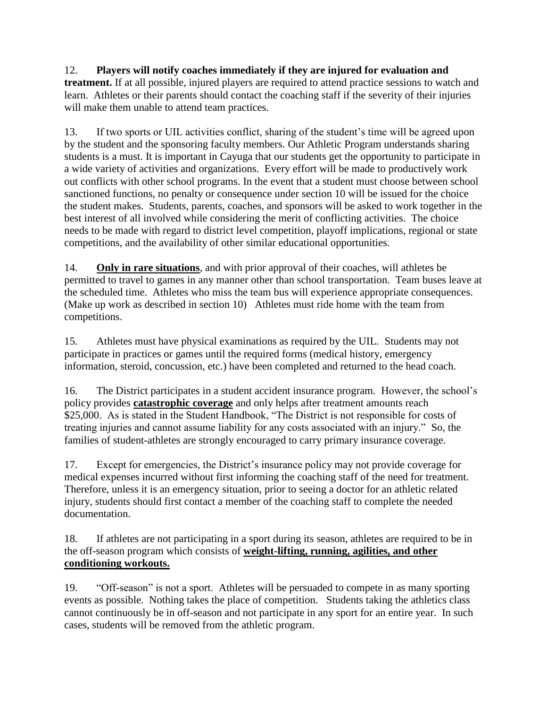## 12. **Players will notify coaches immediately if they are injured for evaluation and**

**treatment.** If at all possible, injured players are required to attend practice sessions to watch and learn. Athletes or their parents should contact the coaching staff if the severity of their injuries will make them unable to attend team practices.

13. If two sports or UIL activities conflict, sharing of the student's time will be agreed upon by the student and the sponsoring faculty members. Our Athletic Program understands sharing students is a must. It is important in Cayuga that our students get the opportunity to participate in a wide variety of activities and organizations. Every effort will be made to productively work out conflicts with other school programs. In the event that a student must choose between school sanctioned functions, no penalty or consequence under section 10 will be issued for the choice the student makes. Students, parents, coaches, and sponsors will be asked to work together in the best interest of all involved while considering the merit of conflicting activities. The choice needs to be made with regard to district level competition, playoff implications, regional or state competitions, and the availability of other similar educational opportunities.

14. **Only in rare situations**, and with prior approval of their coaches, will athletes be permitted to travel to games in any manner other than school transportation. Team buses leave at the scheduled time. Athletes who miss the team bus will experience appropriate consequences. (Make up work as described in section 10) Athletes must ride home with the team from competitions.

15. Athletes must have physical examinations as required by the UIL. Students may not participate in practices or games until the required forms (medical history, emergency information, steroid, concussion, etc.) have been completed and returned to the head coach.

16. The District participates in a student accident insurance program. However, the school's policy provides **catastrophic coverage** and only helps after treatment amounts reach \$25,000. As is stated in the Student Handbook, "The District is not responsible for costs of treating injuries and cannot assume liability for any costs associated with an injury." So, the families of student-athletes are strongly encouraged to carry primary insurance coverage.

17. Except for emergencies, the District's insurance policy may not provide coverage for medical expenses incurred without first informing the coaching staff of the need for treatment. Therefore, unless it is an emergency situation, prior to seeing a doctor for an athletic related injury, students should first contact a member of the coaching staff to complete the needed documentation.

18. If athletes are not participating in a sport during its season, athletes are required to be in the off-season program which consists of **weight-lifting, running, agilities, and other conditioning workouts.**

19. "Off-season" is not a sport. Athletes will be persuaded to compete in as many sporting events as possible. Nothing takes the place of competition. Students taking the athletics class cannot continuously be in off-season and not participate in any sport for an entire year. In such cases, students will be removed from the athletic program.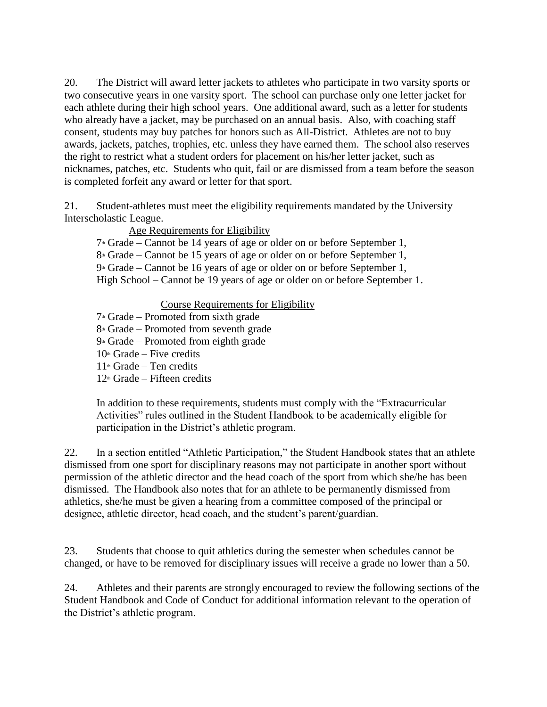20. The District will award letter jackets to athletes who participate in two varsity sports or two consecutive years in one varsity sport. The school can purchase only one letter jacket for each athlete during their high school years. One additional award, such as a letter for students who already have a jacket, may be purchased on an annual basis. Also, with coaching staff consent, students may buy patches for honors such as All-District. Athletes are not to buy awards, jackets, patches, trophies, etc. unless they have earned them. The school also reserves the right to restrict what a student orders for placement on his/her letter jacket, such as nicknames, patches, etc. Students who quit, fail or are dismissed from a team before the season is completed forfeit any award or letter for that sport.

21. Student-athletes must meet the eligibility requirements mandated by the University Interscholastic League.

Age Requirements for Eligibility

 $7^{\text{th}}$  Grade – Cannot be 14 years of age or older on or before September 1,

 $8<sup>th</sup>$  Grade – Cannot be 15 years of age or older on or before September 1,

 $9*$  Grade – Cannot be 16 years of age or older on or before September 1,

High School – Cannot be 19 years of age or older on or before September 1.

#### Course Requirements for Eligibility

- $7<sup>th</sup>$  Grade Promoted from sixth grade
- $8<sup>th</sup>$  Grade Promoted from seventh grade
- $9<sup>th</sup>$  Grade Promoted from eighth grade
- $10<sup>th</sup>$  Grade Five credits
- $11<sup>th</sup>$  Grade Ten credits
- $12<sup>th</sup>$  Grade Fifteen credits

In addition to these requirements, students must comply with the "Extracurricular Activities" rules outlined in the Student Handbook to be academically eligible for participation in the District's athletic program.

22. In a section entitled "Athletic Participation," the Student Handbook states that an athlete dismissed from one sport for disciplinary reasons may not participate in another sport without permission of the athletic director and the head coach of the sport from which she/he has been dismissed. The Handbook also notes that for an athlete to be permanently dismissed from athletics, she/he must be given a hearing from a committee composed of the principal or designee, athletic director, head coach, and the student's parent/guardian.

23. Students that choose to quit athletics during the semester when schedules cannot be changed, or have to be removed for disciplinary issues will receive a grade no lower than a 50.

24. Athletes and their parents are strongly encouraged to review the following sections of the Student Handbook and Code of Conduct for additional information relevant to the operation of the District's athletic program.